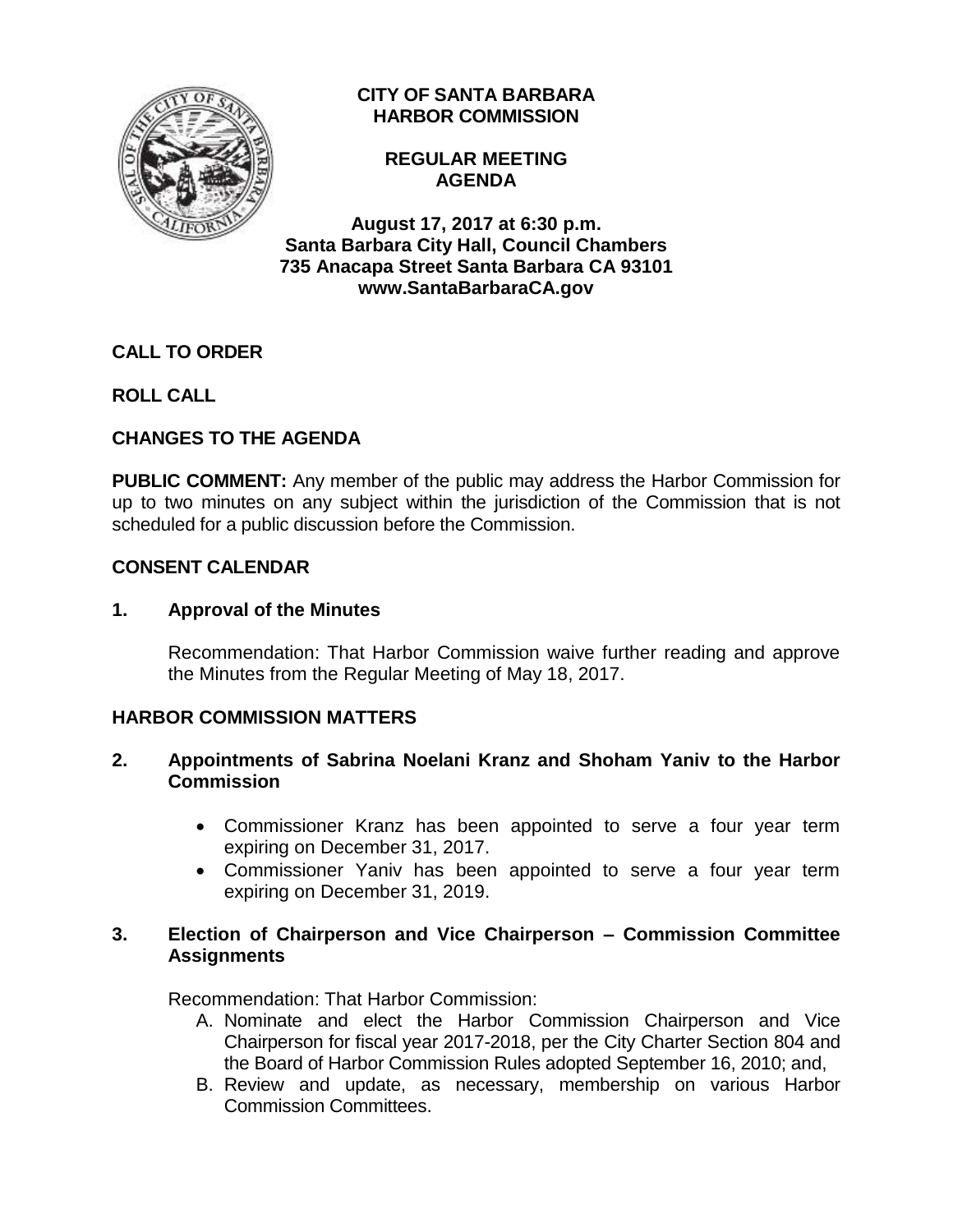

# **CITY OF SANTA BARBARA HARBOR COMMISSION**

**REGULAR MEETING AGENDA**

**August 17, 2017 at 6:30 p.m. Santa Barbara City Hall, Council Chambers 735 Anacapa Street Santa Barbara CA 93101 www.SantaBarbaraCA.gov**

# **CALL TO ORDER**

**ROLL CALL**

# **CHANGES TO THE AGENDA**

**PUBLIC COMMENT:** Any member of the public may address the Harbor Commission for up to two minutes on any subject within the jurisdiction of the Commission that is not scheduled for a public discussion before the Commission.

# **CONSENT CALENDAR**

# **1. Approval of the Minutes**

Recommendation: That Harbor Commission waive further reading and approve the Minutes from the Regular Meeting of May 18, 2017.

# **HARBOR COMMISSION MATTERS**

## **2. Appointments of Sabrina Noelani Kranz and Shoham Yaniv to the Harbor Commission**

- Commissioner Kranz has been appointed to serve a four year term expiring on December 31, 2017.
- Commissioner Yaniv has been appointed to serve a four year term expiring on December 31, 2019.

# **3. Election of Chairperson and Vice Chairperson – Commission Committee Assignments**

Recommendation: That Harbor Commission:

- A. Nominate and elect the Harbor Commission Chairperson and Vice Chairperson for fiscal year 2017-2018, per the City Charter Section 804 and the Board of Harbor Commission Rules adopted September 16, 2010; and,
- B. Review and update, as necessary, membership on various Harbor Commission Committees.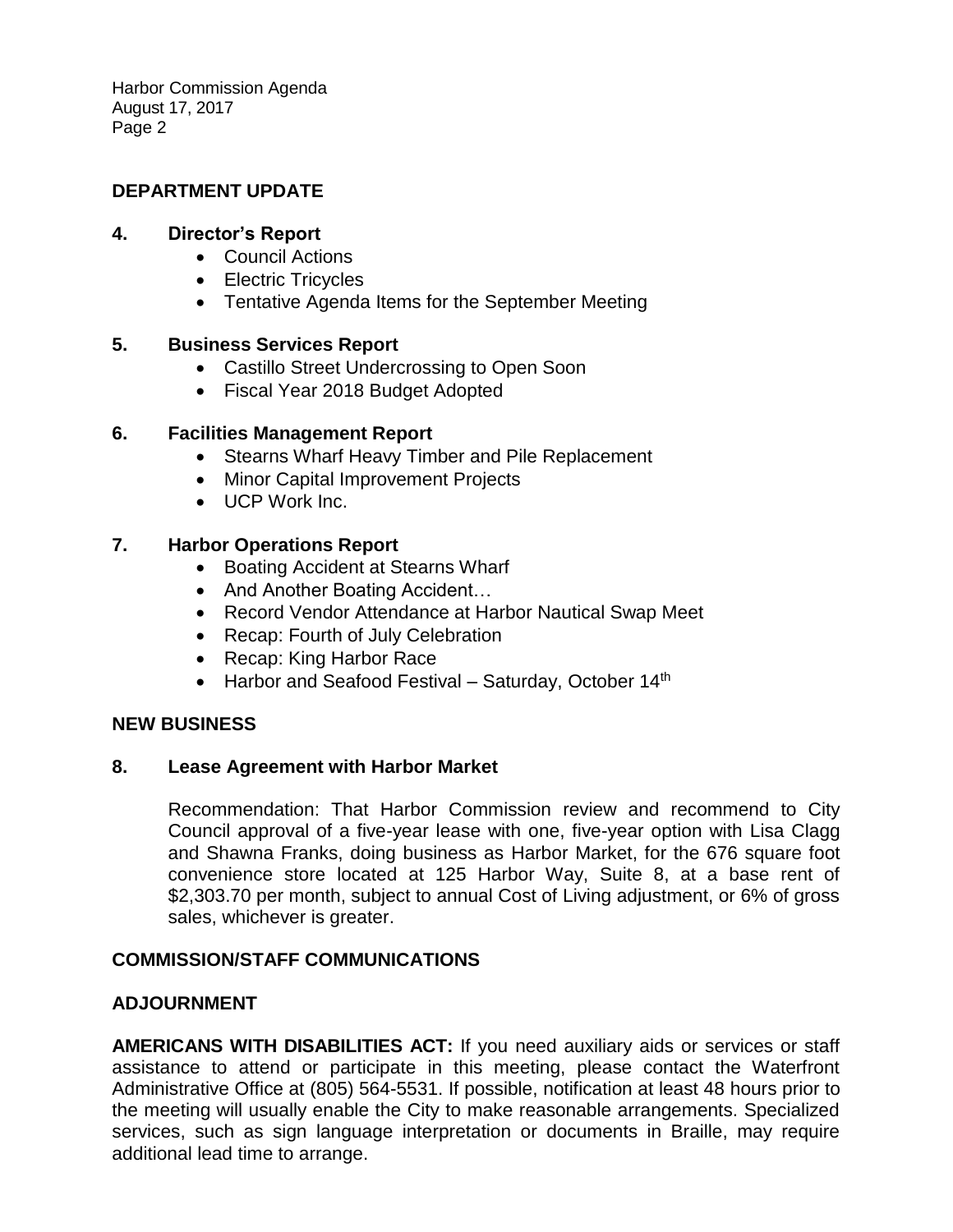Harbor Commission Agenda August 17, 2017 Page 2

### **DEPARTMENT UPDATE**

#### **4. Director's Report**

- Council Actions
- Electric Tricycles
- Tentative Agenda Items for the September Meeting

### **5. Business Services Report**

- Castillo Street Undercrossing to Open Soon
- Fiscal Year 2018 Budget Adopted

### **6. Facilities Management Report**

- Stearns Wharf Heavy Timber and Pile Replacement
- Minor Capital Improvement Projects
- UCP Work Inc.

#### **7. Harbor Operations Report**

- Boating Accident at Stearns Wharf
- And Another Boating Accident...
- Record Vendor Attendance at Harbor Nautical Swap Meet
- Recap: Fourth of July Celebration
- Recap: King Harbor Race
- $\bullet$  Harbor and Seafood Festival Saturday, October 14<sup>th</sup>

### **NEW BUSINESS**

### **8. Lease Agreement with Harbor Market**

Recommendation: That Harbor Commission review and recommend to City Council approval of a five-year lease with one, five-year option with Lisa Clagg and Shawna Franks, doing business as Harbor Market, for the 676 square foot convenience store located at 125 Harbor Way, Suite 8, at a base rent of \$2,303.70 per month, subject to annual Cost of Living adjustment, or 6% of gross sales, whichever is greater.

### **COMMISSION/STAFF COMMUNICATIONS**

### **ADJOURNMENT**

**AMERICANS WITH DISABILITIES ACT:** If you need auxiliary aids or services or staff assistance to attend or participate in this meeting, please contact the Waterfront Administrative Office at (805) 564-5531. If possible, notification at least 48 hours prior to the meeting will usually enable the City to make reasonable arrangements. Specialized services, such as sign language interpretation or documents in Braille, may require additional lead time to arrange.